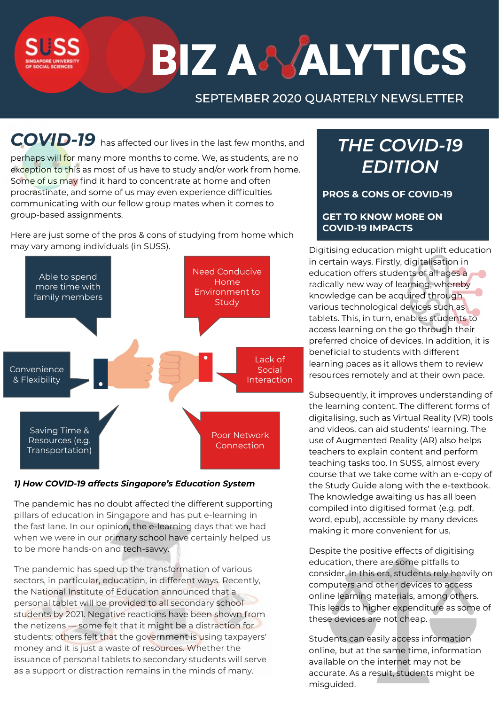# BIZ A& ALYTICS

## SEPTEMBER 2020 QUARTERLY NEWSLETTER

*COVID-19* has affected our lives in the last few months, and

perhaps will for many more months to come. We, as students, are no exception to this as most of us have to study and/or work from home. Some of us may find it hard to concentrate at home and often procrastinate, and some of us may even experience difficulties communicating with our fellow group mates when it comes to group-based assignments.

Here are just some of the pros & cons of studying from home which may vary among individuals (in SUSS).



## *1) How COVID-19 affects Singapore's Education System*

The pandemic has no doubt affected the different supporting pillars of education in Singapore and has put e-learning in the fast lane. In our opinion, the e-learning days that we had when we were in our primary school have certainly helped us to be more hands-on and tech-savvy.

The pandemic has sped up the transformation of various sectors, in particular, education, in different ways. Recently, the National Institute of Education announced that a personal tablet will be provided to all secondary school students by 2021. Negative reactions have been shown from the netizens — some felt that it might be a distraction for students; others felt that the government is using taxpayers' money and it is just a waste of resources. Whether the issuance of personal tablets to secondary students will serve as a support or distraction remains in the minds of many.

## **THE COVID-19 EDITION**

**PROS & CONS OF COVID-19**

## **GET TO KNOW MORE ON COVID-19 IMPACTS**

Digitising education might uplift education in certain ways. Firstly, digitalisation in education offers students of all ages a radically new way of learning, whereby knowledge can be acquired through various technological devices such as tablets. This, in turn, enables students to access learning on the go through their preferred choice of devices. In addition, it is beneficial to students with different learning paces as it allows them to review resources remotely and at their own pace.

Subsequently, it improves understanding of the learning content. The different forms of digitalising, such as Virtual Reality (VR) tools and videos, can aid students' learning. The use of Augmented Reality (AR) also helps teachers to explain content and perform teaching tasks too. In SUSS, almost every course that we take come with an e-copy of the Study Guide along with the e-textbook. The knowledge awaiting us has all been compiled into digitised format (e.g. pdf, word, epub), accessible by many devices making it more convenient for us.

Despite the positive effects of digitising education, there are some pitfalls to consider. In this era, students rely heavily on computers and other devices to access online learning materials, among others. This leads to higher expenditure as some of these devices are not cheap.

Students can easily access information online, but at the same time, information available on the internet may not be accurate. As a result, students might be misguided.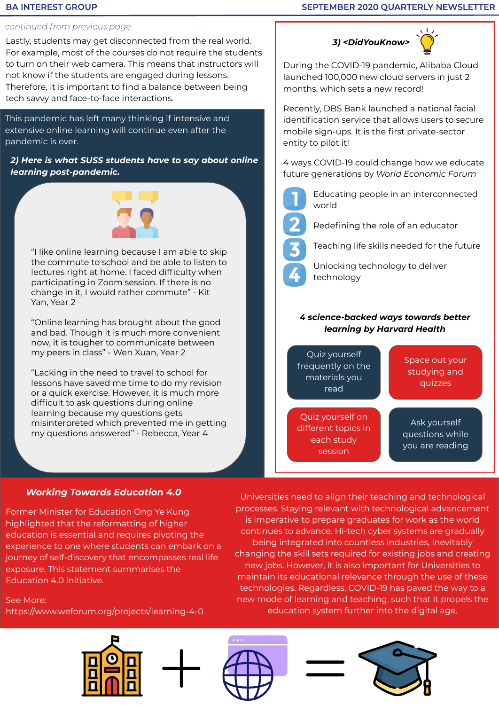## **BA INTEREST GROUP**

## SEPTEMBER 2020 QUARTERLY NEWSLETTER

## continued from previous page

Lastly, students may get disconnected from the real world. For example, most of the courses do not require the students to turn on their web camera. This means that instructors will not know if the students are engaged during lessons. Therefore, it is important to find a balance between being tech savvy and face-to-face interactions.

This pandemic has left many thinking if intensive and extensive online learning will continue even after the pandemic is over.

*2) Here is what SUSS students have to say about online learning post-pandemic.*



"I like online learning because I am able to skip the commute to school and be able to listen to lectures right at home. I faced difficulty when participating in Zoom session. If there is no change in it, I would rather commute" - Kit Yan, Year 2

"Online learning has brought about the good and bad. Though it is much more convenient now, it is tougher to communicate between my peers in class" - Wen Xuan, Year 2

"Lacking in the need to travel to school for lessons have saved me time to do my revision or a quick exercise. However, it is much more difficult to ask questions during online learning because my questions gets misinterpreted which prevented me in getting my questions answered" - Rebecca, Year 4

## *3) <DidYouKnow>*



During the COVID-19 pandemic, Alibaba Cloud launched 100,000 new cloud servers in just 2 months, which sets a new record!

Recently, DBS Bank launched a national facial identification service that allows users to secure mobile sign-ups. It is the first private-sector entity to pilot it!

4 ways COVID-19 could change how we educate future generations by *World Economic Forum*

Educating people in an interconnected world



Redefining the role of an educator

Teaching life skills needed for the future

Unlocking technology to deliver technology

## *4 science-backed ways towards better learning by Harvard Health*



## *Working Towards Education 4.0*

Former Minister for Education Ong Ye Kung highlighted that the reformatting of higher education is essential and requires pivoting the experience to one where students can embark on a journey of self-discovery that encompasses real life exposure. This statement summarises the Education 4.0 initiative.

## See More:

https://www.weforum.org/projects/learning-4-0

Universities need to align their teaching and technological processes. Staying relevant with technological advancement is imperative to prepare graduates for work as the world continues to advance. Hi-tech cyber systems are gradually being integrated into countless industries, inevitably changing the skill sets required for existing jobs and creating new jobs. However, it is also important for Universities to maintain its educational relevance through the use of these technologies. Regardless, COVID-19 has paved the way to a new mode of learning and teaching, such that it propels the education system further into the digital age.